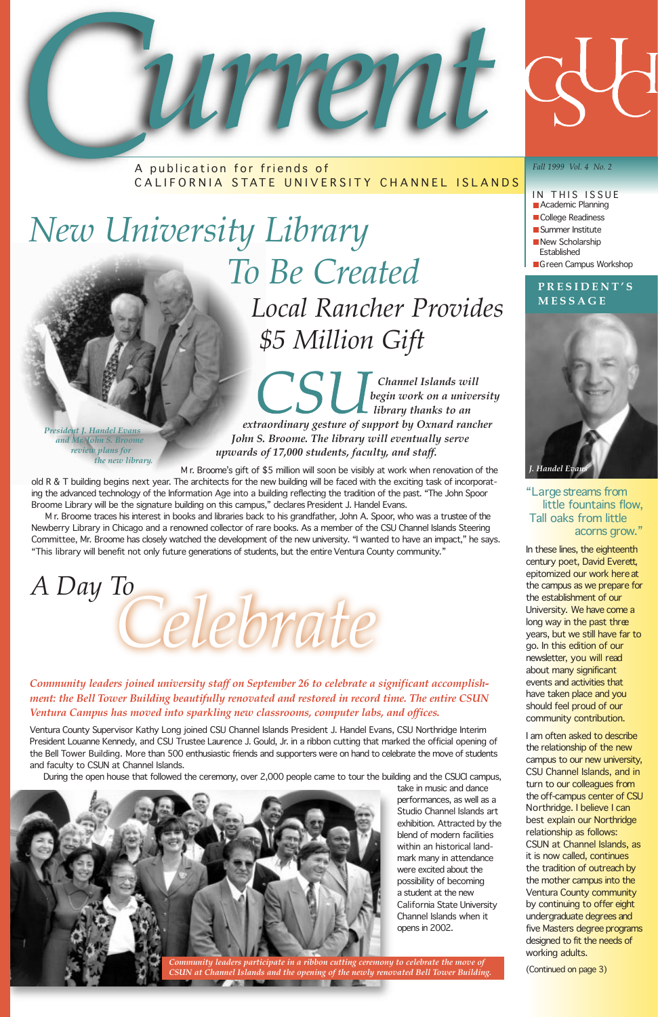*Channel Islands will begin work on a university library thanks to an extraordinary gesture of support by Oxnard rancher John S. Broome. The library will eventually serve upwards of 17,000 students, faculty, and staff.* 

M r. Broome's gift of \$5 million will soon be visibly at work when renovation of the old R & T building begins next year. The architects for the new building will be faced with the exciting task of incorporating the advanced technology of the Information Age into a building reflecting the tradition of the past. "The John Spoor Broome Library will be the signature building on this campus," declares President J. Handel Evans.

M r. Broome traces his interest in books and libraries back to his grandfather, John A. Spoor, who was a trustee of the Newberry Library in Chicago and a renowned collector of rare books. As a member of the CSU Channel Islands Steering Committee, Mr. Broome has closely watched the development of the new university. "I wanted to have an impact," he says. "This library will benefit not only future generations of students, but the entire Ventura County community."

### *New University Library To Be Created Local Rancher Provides \$5 Million Gift*

*President J. Handel Evans and Mr. John S. Broome review plans for the new library.*

- *Fall 1999 Vol. 4 No. 2* IN THIS ISSUE **Academic Planning** College Readiness
- Summer Institute
- New Scholarship Established
- Green Campus Workshop

### *Community leaders joined university staff on September 26 to celebrate a significant accomplishment: the Bell Tower Building beautifully renovated and restored in record time. The entire CSUN Ventura Campus has moved into sparkling new classrooms, computer labs, and offices.*

Ventura County Supervisor Kathy Long joined CSU Channel Islands President J. Handel Evans, CSU Northridge Interim President Louanne Kennedy, and CSU Trustee Laurence J. Gould, Jr. in a ribbon cutting that marked the official opening of

the Bell Tower Building. More than 500 enthusiastic friends and supporters were on hand to celebrate the move of students and faculty to CSUN at Channel Islands.

During the open house that followed the ceremony, over 2,000 people came to tour the building and the CSUCI campus,



take in music and dance performances, as well as a Studio Channel Islands art exhibition. Attracted by the blend of modern facilities within an historical landmark many in attendance were excited about the possibility of becoming a student at the new California State University Channel Islands when it opens in 2002.



A publication for friends of CALIFORNIA STATE UNIVERSITY CHANNEL ISLANDS

*Celebrate A Day To* 

> *Community leaders participate in a ribbon cutting ceremony to celebrate the move of CSUN at Channel Islands and the opening of the newly renovated Bell Tower Building.*

**MARKET AND RESIDENCE AND RESIDENCE AND RESIDENCE AND RESIDENCE AND RESIDENCE AND RESIDENCE AND RESIDENCE AND R** 

### **PRESIDENT'S MESSAGE**



#### *"Large streams from little fountains flow, Tall oaks from little acorns grow."*

In these lines, the eighteenth century poet, David Everett, epitomized our work here at the campus as we prepare for the establishment of our University. We have come a long way in the past three years, but we still have far to go. In this edition of our newsletter, you will read about many significant events and activities that have taken place and you should feel proud of our community contribution.

I am often asked to describe the relationship of the new

campus to our new university, CSU Channel Islands, and in turn to our colleagues from the off-campus center of CSU Northridge. I believe I can best explain our Northridge relationship as follows: CSUN at Channel Islands, as it is now called, continues the tradition of outreach by the mother campus into the Ventura County community by continuing to offer eight undergraduate degrees and five Masters degree programs designed to fit the needs of working adults.

*(Continued on page 3)*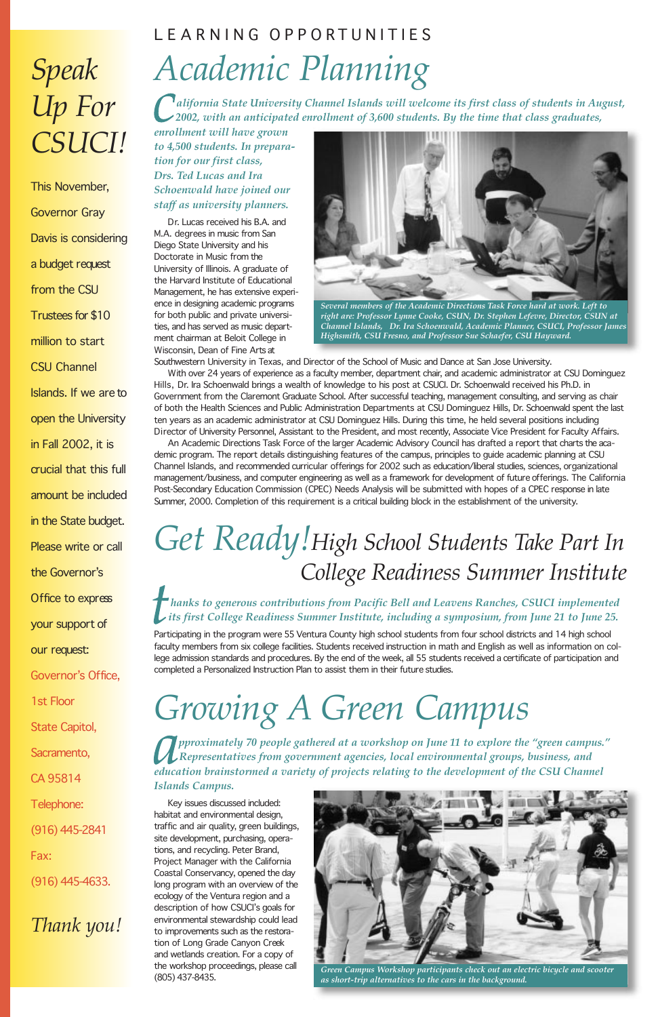### LEARNING OPPORTUNITIES *Academic Planning*

*alifornia State University Channel Islands will welcome its first class of students in August, 2002, with an anticipated enrollment of 3,600 students. By the time that class graduates,*

*enrollment will have grown to 4,500 students. In preparation for our first class, Drs. Ted Lucas and Ira Schoenwald have joined our staff as university planners.*

Dr. Lucas received his B.A. and M.A. degrees in music from San Diego State University and his Doctorate in Music from the University of Illinois. A graduate of the Harvard Institute of Educational Management, he has extensive experience in designing academic programs for both public and private universities, and has served as music department chairman at Beloit College in Wisconsin, Dean of Fine Arts at

Southwestern University in Texas, and Director of the School of Music and Dance at San Jose University.

With over 24 years of experience as a faculty member, department chair, and academic administrator at CSU Dominguez Hills, Dr. Ira Schoenwald brings a wealth of knowledge to his post at CSUCI. Dr. Schoenwald received his Ph.D. in Government from the Claremont Graduate School. After successful teaching, management consulting, and serving as chair of both the Health Sciences and Public Administration Departments at CSU Dominguez Hills, Dr. Schoenwald spent the last ten years as an academic administrator at CSU Dominguez Hills. During this time, he held several positions including Director of University Personnel, Assistant to the President, and most recently, Associate Vice President for Faculty Affairs.

An Academic Directions Task Force of the larger Academic Advisory Council has drafted a report that charts the academic program. The report details distinguishing features of the campus, principles to guide academic planning at CSU Channel Islands, and recommended curricular offerings for 2002 such as education/liberal studies, sciences, organizational management/business, and computer engineering as well as a framework for development of future offerings. The California Post-Secondary Education Commission (CPEC) Needs Analysis will be submitted with hopes of a CPEC response in late Summer, 2000. Completion of this requirement is a critical building block in the establishment of the university.

### *Get Ready!High School Students Take Part In College Readiness Summer Institute*

*hanks to generous contributions from Pacific Bell and Leavens Ranches, CSUCI implemented its first College Readiness Summer Institute, including a symposium, from June 21 to June 25.*

Participating in the program were 55 Ventura County high school students from four school districts and 14 high school faculty members from six college facilities. Students received instruction in math and English as well as information on college admission standards and procedures. By the end of the week, all 55 students received a certificate of participation and completed a Personalized Instruction Plan to assist them in their future studies.

## *Growing A Green Campus*

*pproximately 70 people gathered at a workshop on June 11 to explore the "green campus."*

*Representatives from government agencies, local environmental groups, business, and education brainstormed a variety of projects relating to the development of the CSU Channel Islands Campus.* 

Key issues discussed included: habitat and environmental design, traffic and air quality, green buildings, site development, purchasing, operations, and recycling. Peter Brand, Project Manager with the California Coastal Conservancy, opened the day long program with an overview of the ecology of the Ventura region and a description of how CSUCI's goals for environmental stewardship could lead to improvements such as the restoration of Long Grade Canyon Creek and wetlands creation. For a copy of the workshop proceedings, please call (805) 437-8435.

### *Speak Up For CSUCI!*

**This November, Governor Gray Davis is considering a budget request from the CSU Trustees for \$10 million to start CSU Channel Islands. If we are to open the University in Fall 2002, it is crucial that this full amount be included in the State budget. Please write or call the Governor's Office to express**

**your support of**

**our request:** 

**Governor's Office,**

**1st Floor**

**State Capitol,**

**Sacramento,**

**CA 95814**

**Telephone:**

**(916) 445-2841**

**Fax:**

**(916) 445-4633.**

*Thank you!*



*Several members of the Academic Directions Task Force hard at work. Left to right are: Professor Lynne Cooke, CSUN, Dr. Stephen Lefevre, Director, CSUN at Channel Islands, Dr. Ira Schoenwald, Academic Planner, CSUCI, Professor James Highsmith, CSU Fresno, and Professor Sue Schaefer, CSU Hayward.*



*Green Campus Workshop participants check out an electric bicycle and scooter as short-trip alternatives to the cars in the background.*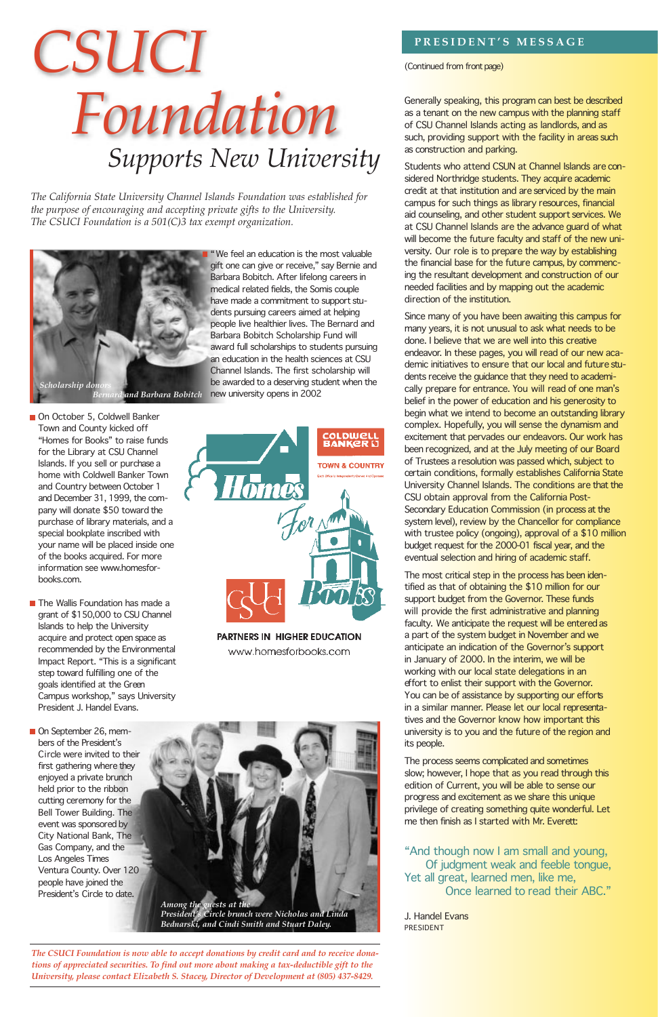"We feel an education is the most valuable gift one can give or receive," say Bernie and Barbara Bobitch. After lifelong careers in medical related fields, the Somis couple have made a commitment to support students pursuing careers aimed at helping people live healthier lives. The Bernard and Barbara Bobitch Scholarship Fund will award full scholarships to students pursuing an education in the health sciences at CSU Channel Islands. The first scholarship will be awarded to a deserving student when the

On October 5, Coldwell Banker Town and County kicked off "Homes for Books" to raise funds for the Library at CSU Channel Islands. If you sell or purchase a home with Coldwell Banker Town and Country between October 1 and December 31, 1999, the company will donate \$50 toward the purchase of library materials, and a special bookplate inscribed with your name will be placed inside one of the books acquired. For more information see www.homesforbooks.com.

- The Wallis Foundation has made a grant of \$150,000 to CSU Channel Islands to help the University acquire and protect open space as recommended by the Environmental Impact Report. "This is a significant step toward fulfilling one of the goals identified at the Green Campus workshop," says University President J. Handel Evans.
- On September 26, members of the President's



**PARTNERS IN HIGHER EDUCATION** www.homesforbooks.com



Circle were invited to their first gathering where they enjoyed a private brunch held prior to the ribbon cutting ceremony for the Bell Tower Building. The event was sponsored by City National Bank, The Gas Company, and the *Los Angeles Times* Ventura County. Over 120 people have joined the President's Circle to date.

### **PRESIDENT'S MESSAGE**

*(Continued from front page)*

Generally speaking, this program can best be described as a tenant on the new campus with the planning staff of CSU Channel Islands acting as landlords, and as such, providing support with the facility in areas such as construction and parking.

Students who attend CSUN at Channel Islands are considered Northridge students. They acquire academic credit at that institution and are serviced by the main campus for such things as library resources, financial aid counseling, and other student support services. We at CSU Channel Islands are the advance guard of what will become the future faculty and staff of the new university. Our role is to prepare the way by establishing the financial base for the future campus, by commencing the resultant development and construction of our needed facilities and by mapping out the academic direction of the institution.

## *CSUCI Foundation Supports New University*



Since many of you have been awaiting this campus for many years, it is not unusual to ask what needs to be done. I believe that we are well into this creative endeavor. In these pages, you will read of our new academic initiatives to ensure that our local and future students receive the guidance that they need to academically prepare for entrance. You will read of one man's belief in the power of education and his generosity to begin what we intend to become an outstanding library complex. Hopefully, you will sense the dynamism and excitement that pervades our endeavors. Our work has been recognized, and at the July meeting of our Board of Trustees a resolution was passed which, subject to certain conditions, formally establishes California State University Channel Islands. The conditions are that the CSU obtain approval from the California Post-Secondary Education Commission (in process at the system level), review by the Chancellor for compliance with trustee policy (ongoing), approval of a \$10 million budget request for the 2000-01 fiscal year, and the eventual selection and hiring of academic staff.

The most critical step in the process has been identified as that of obtaining the \$10 million for our support budget from the Governor. These funds will provide the first administrative and planning faculty. We anticipate the request will be entered as a part of the system budget in November and we anticipate an indication of the Governor's support in January of 2000. In the interim, we will be working with our local state delegations in an effort to enlist their support with the Governor. You can be of assistance by supporting our efforts in a similar manner. Please let our local representatives and the Governor know how important this university is to you and the future of the region and its people.

The process seems complicated and sometimes slow; however, I hope that as you read through this edition of Current, you will be able to sense our progress and excitement as we share this unique privilege of creating something quite wonderful. Let me then finish as I started with Mr. Everett:

*"And though now I am small and young, Of judgment weak and feeble tongue, Yet all great, learned men, like me, Once learned to read their ABC."*

*J. Handel Evans* PRESIDENT

*The California State University Channel Islands Foundation was established for the purpose of encouraging and accepting private gifts to the University. The CSUCI Foundation is a 501(C)3 tax exempt organization.*

*The CSUCI Foundation is now able to accept donations by credit card and to receive donations of appreciated securities. To find out more about making a tax-deductible gift to the University, please contact Elizabeth S. Stacey, Director of Development at (805) 437-8429.*

*Among the guests at the President's Circle brunch were Nicholas and Linda Bednarski, and Cindi Smith and Stuart Daley.*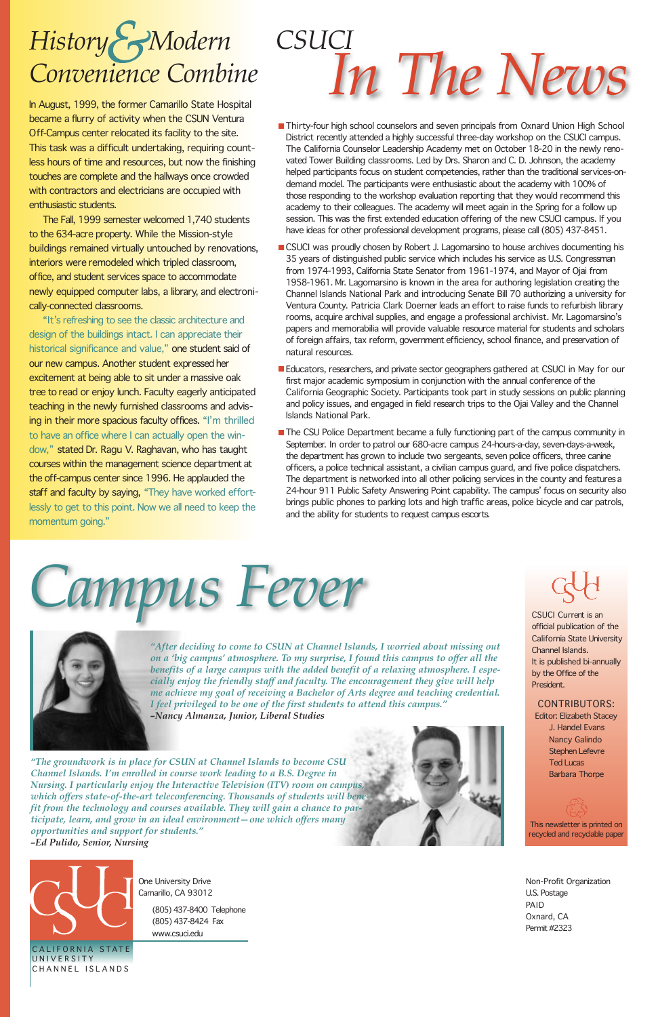One University Drive Camarillo, CA 93012

*(805) 437-8400 Telephone (805) 437-8424 Fax*

*www.csuci.edu*

# *Campus Fever*



- Thirty-four high school counselors and seven principals from Oxnard Union High School District recently attended a highly successful three-day workshop on the CSUCI campus. The California Counselor Leadership Academy met on October 18-20 in the newly renovated Tower Building classrooms. Led by Drs. Sharon and C. D. Johnson, the academy helped participants focus on student competencies, rather than the traditional services-ondemand model. The participants were enthusiastic about the academy with 100% of those responding to the workshop evaluation reporting that they would recommend this academy to their colleagues. The academy will meet again in the Spring for a follow up session. This was the first extended education offering of the new CSUCI campus. If you have ideas for other professional development programs, please call (805) 437-8451.
- CSUCI was proudly chosen by Robert J. Lagomarsino to house archives documenting his 35 years of distinguished public service which includes his service as U.S. Congressman from 1974-1993, California State Senator from 1961-1974, and Mayor of Ojai from 1958-1961. Mr. Lagomarsino is known in the area for authoring legislation creating the Channel Islands National Park and introducing Senate Bill 70 authorizing a university for Ventura County. Patricia Clark Doerner leads an effort to raise funds to refurbish library rooms, acquire archival supplies, and engage a professional archivist. Mr. Lagomarsino's papers and memorabilia will provide valuable resource material for students and scholars of foreign affairs, tax reform, government efficiency, school finance, and preservation of natural resources.
- Educators, researchers, and private sector geographers gathered at CSUCI in May for our first major academic symposium in conjunction with the annual conference of the California Geographic Society. Participants took part in study sessions on public planning and policy issues, and engaged in field research trips to the Ojai Valley and the Channel Islands National Park.
- **The CSU Police Department became a fully functioning part of the campus community in** September. In order to patrol our 680-acre campus 24-hours-a-day, seven-days-a-week, the department has grown to include two sergeants, seven police officers, three canine officers, a police technical assistant, a civilian campus guard, and five police dispatchers. The department is networked into all other policing services in the county and features a 24-hour 911 Public Safety Answering Point capability. The campus' focus on security also brings public phones to parking lots and high traffic areas, police bicycle and car patrols, and the ability for students to request campus escorts.

CSUCI *Current* is an official publication of the California State University Channel Islands. It is published bi-annually by the Office of the President.

### *In The News CSUCI*

#### CONTRIBUTORS:

*Editor: Elizabeth Stacey J. Handel Evans Nancy Galindo*

> *Stephen Lefevre Ted Lucas Barbara Thorpe*

This newsletter is printed on recycled and recyclable paper

CALIFORNIA STATE UNIVERSITY CHANNEL ISLANDS

Non-Profit Organization U.S. Postage PAID Oxnard, CA Permit #2323

### *History Modern Convenience Combine*

**In August, 1999, the former Camarillo State Hospital became a flurry of activity when the CSUN Ventura Off-Campus center relocated its facility to the site. This task was a difficult undertaking, requiring countless hours of time and resources, but now the finishing touches are complete and the hallways once crowded with contractors and electricians are occupied with enthusiastic students.** 

**The Fall, 1999 semester welcomed 1,740 students to the 634-acre property. While the Mission-style buildings remained virtually untouched by renovations, interiors were remodeled which tripled classroom, office, and student services space to accommodate newly equipped computer labs, a library, and electronically-connected classrooms.** 

**"It's refreshing to see the classic architecture and design of the buildings intact. I can appreciate their historical significance and value," one student said of our new campus. Another student expressed her excitement at being able to sit under a massive oak tree to read or enjoy lunch. Faculty eagerly anticipated teaching in the newly furnished classrooms and advising in their more spacious faculty offices. "I'm thrilled to have an office where I can actually open the window," stated Dr. Ragu V. Raghavan, who has taught courses within the management science department at the off-campus center since 1996. He applauded the staff and faculty by saying, "They have worked effortlessly to get to this point. Now we all need to keep the momentum going."**

> *"After deciding to come to CSUN at Channel Islands, I worried about missing out on a 'big campus' atmosphere. To my surprise, I found this campus to offer all the benefits of a large campus with the added benefit of a relaxing atmosphere. I especially enjoy the friendly staff and faculty. The encouragement they give will help me achieve my goal of receiving a Bachelor of Arts degree and teaching credential. I feel privileged to be one of the first students to attend this campus." –Nancy Almanza, Junior, Liberal Studies*

*"The groundwork is in place for CSUN at Channel Islands to become CSU Channel Islands. I'm enrolled in course work leading to a B.S. Degree in Nursing. I particularly enjoy the Interactive Television (ITV) room on campus, which offers state-of-the-art teleconferencing. Thousands of students will benefit from the technology and courses available. They will gain a chance to participate, learn, and grow in an ideal environment—one which offers many opportunities and support for students." –Ed Pulido, Senior, Nursing*